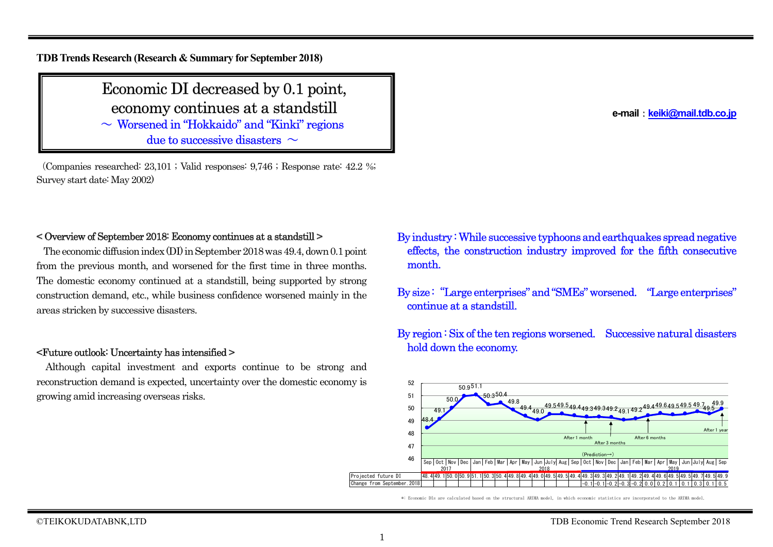**TDB Trends Research (Research & Summary for September 2018)**

# Economic DI decreased by 0.1 point, economy continues at a standstill

 $\sim$  Worsened in "Hokkaido" and "Kinki" regions due to successive disasters  $\sim$ 

(Companies researched: 23,101 ; Valid responses: 9,746 ; Response rate: 42.2 %; Survey start date: May 2002)

# < Overview of September 2018: Economy continues at a standstill >

The economic diffusion index (DI) in September 2018 was 49.4, down 0.1 point from the previous month, and worsened for the first time in three months. The domestic economy continued at a standstill, being supported by strong construction demand, etc., while business confidence worsened mainly in the areas stricken by successive disasters.

#### <Future outlook: Uncertainty has intensified >

Although capital investment and exports continue to be strong and reconstruction demand is expected, uncertainty over the domestic economy is growing amid increasing overseas risks.

- By industry :While successive typhoons and earthquakes spread negative effects, the construction industry improved for the fifth consecutive month.
- By size: "Large enterprises" and "SMEs" worsened. "Large enterprises" continue at a standstill.
- By region : Six of the ten regions worsened. Successive natural disasters hold down the economy.



\*: Economic DIs are calculated based on the structural ARIMA model, in which economic statistics are incorporated to the ARIMA model.

**e-mail**:**keiki@mail.tdb.co.jp**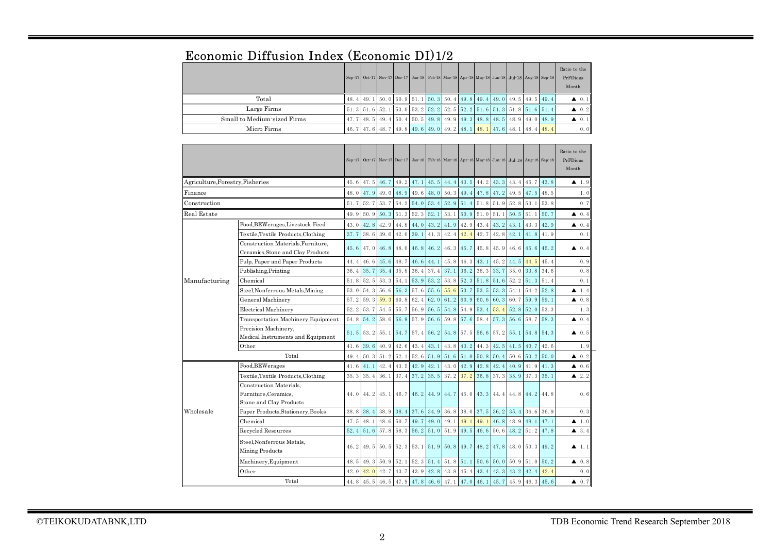|                                  |                                                                |          |        |          |          | Sep-17 Oct-17 Nov-17 Dec-17 Jan-18 Feb-18 Mar-18 Apr-18 May-18 Jun-18 Jul-18 Aug-18 Sep-18 |      |      |                                                         |      |      |      |      |          | <b>REALIO</b> LO LITE<br>PrFDious<br>Month |
|----------------------------------|----------------------------------------------------------------|----------|--------|----------|----------|--------------------------------------------------------------------------------------------|------|------|---------------------------------------------------------|------|------|------|------|----------|--------------------------------------------|
| Total<br>48.4                    |                                                                |          | 49.1   | 50.0     | 50.9     | 51.1                                                                                       | 50.3 | 50.4 | 49.8                                                    | 49.4 | 49.0 | 49.5 | 49.5 | 49.4     | $\triangle$ 0.1                            |
|                                  | Large Firms                                                    | 51.3     | 51.6   | 52.1     | 53.0     | 53.2                                                                                       | 52.2 | 52.5 | 52.2                                                    | 51.6 | 51.3 | 51.8 | 51.6 | 51.4     | $\triangle$ 0.2                            |
|                                  | Small to Medium-sized Firms                                    | 47.7     | 48.5   | 49.4     | 50.4     | 50.5                                                                                       | 49.8 | 49.9 | 49.3                                                    | 48.8 | 48.5 | 48.9 | 49.0 | 48.9     | $\triangle$ 0.1                            |
|                                  | Micro Firms                                                    | 46.7     | 47.6   | 48.7     | 49.8     | 49.6                                                                                       | 49.0 | 49.2 | 48.1                                                    | 48.1 | 47.6 | 48.1 | 48.4 | 48.4     | 0.0                                        |
|                                  |                                                                | $Sep-17$ | Oct·17 | $Nov-17$ | $Dec-17$ | $Jan-18$                                                                                   |      |      | Feb 18 Mar 18 Apr 18 May 18 Jun 18 Jul 18 Aug 18 Sep 18 |      |      |      |      |          | Ratio to the<br>PrFDious<br>Month          |
| Agriculture, Forestry, Fisheries |                                                                | 45.6     | 47.5   | 46.7     | 49.2     | 47.1                                                                                       | 45.5 | 44.4 | 43.5                                                    | 44.2 | 43.3 | 43.4 | 45.7 | 43.8     | $\blacktriangle$ 1.9                       |
| Finance                          |                                                                | 48.0     | 47.9   | 49.0     | 48.9     | 49.6                                                                                       | 48.0 | 50.3 | 49.4                                                    | 47.8 | 47.2 | 49.5 | 47.5 | 48.5     | 1.0                                        |
| $\rm Construction$               |                                                                | 51.7     | 52.7   | 53.7     | 54.2     | 54.0                                                                                       | 53.4 | 52.9 | 51.4                                                    | 51.8 | 51.9 | 52.8 | 53.1 | 53.8     | 0.7                                        |
| Real Estate                      |                                                                | 49.9     | 50.9   | 50.3     | 51.3     | 52.3                                                                                       | 52.1 | 53.1 | 50.9                                                    | 51.0 | 51.1 | 50.5 | 51.1 | 50.7     | ▲<br>0.4                                   |
|                                  | Food, BEWerages, Livestock Feed                                | 43.0     | 42.8   | 42.9     | 44.8     | 44.0                                                                                       | 43.2 | 41.9 | 42.9                                                    | 43.4 | 43.2 | 43.1 | 43.3 | 42.9     | 40.4                                       |
|                                  | Textile, Textile Products, Clothing                            | 37.7     | 38.6   | 39.6     | 42.0     | 39.1                                                                                       | 41.3 | 42.4 | 42.4                                                    | 42.7 | 42.8 | 42.1 | 41.8 | 41.9     | 0.1                                        |
|                                  | Construction Materials, Furniture,                             | 45.6     | 47.0   | 46.8     | 48.0     | 46.8                                                                                       | 46.2 | 46.3 | 45.7                                                    | 45.8 | 45.9 | 46.6 | 45.6 | 45.2     | 40.4                                       |
|                                  | Ceramics, Stone and Clay Products                              |          |        |          |          |                                                                                            |      |      |                                                         |      |      |      |      |          |                                            |
|                                  | Pulp, Paper and Paper Products                                 | 44.4     | 46.6   | 45.6     | 48.7     | 46.6                                                                                       | 44.1 | 45.8 | 46.3                                                    | 43.1 | 45.2 | 44.5 | 44.5 | 45.4     | 0.9                                        |
|                                  | Publishing, Printing                                           | 36.4     | 35.7   | 35.4     | 35.8     | 36.4                                                                                       | 37.4 | 37.1 | 36.2                                                    | 36.3 | 33.7 | 35.0 | 33.8 | 34.6     | 0.8                                        |
| Manufacturing                    | Chemical                                                       | 51.8     | 52.5   | 53.3     | 54.1     | 53.9                                                                                       | 53.2 | 53.8 | 52.3                                                    | 51.8 | 51.6 | 52.2 | 51.3 | 51.4     | 0.1                                        |
|                                  | Steel, Nonferrous Metals, Mining                               | 53.0     | 54.3   | 56.6     | 56.3     | 57.6                                                                                       | 55.6 | 55.6 | 53.7                                                    | 53.5 | 53.3 | 54.1 | 54.2 | 52.8     | $\blacktriangle$ 1.4                       |
|                                  | General Machinery                                              | 57.2     | 59.3   | 59.3     | 60.8     | 62.4                                                                                       | 62.0 | 61.2 | 60.9                                                    | 60.6 | 60.3 | 60.7 | 59.9 | 59.1     | 40.8                                       |
|                                  | Electrical Machinery                                           | 52.2     | 53.7   | 54.5     | 55.7     | 56.9                                                                                       | 56.5 | 54.8 | 54.9                                                    | 53.4 | 53.4 | 52.8 | 52.0 | 53.3     | 1.3                                        |
|                                  | Transportation Machinery, Equipment                            | 54.8     | 54.2   | 58.6     | 56.9     | 57.9                                                                                       | 56.6 | 59.8 | 57.6                                                    | 58.4 | 57.3 | 56.6 | 58.7 | 58.3     | 40.4                                       |
|                                  | Precision Machinery,                                           | 51.5     | 53.2   | 55.1     | 54.7     | 57.4                                                                                       | 56.2 | 54.8 | 57.5                                                    | 56.6 | 57.2 | 55.1 | 54.8 | 54.3     | 40.5                                       |
|                                  | Medical Instruments and Equipment                              |          |        |          |          |                                                                                            |      |      |                                                         |      |      |      |      |          |                                            |
|                                  | Other<br>Total                                                 | 41.6     | 39.6   | 40.9     | 42.6     | 43.4                                                                                       | 43.1 | 43.8 | 43.2                                                    | 44.3 | 42.5 | 41.5 | 40.7 | 42.6     | 1.9                                        |
|                                  |                                                                | 49.4     | 50.3   | 51.2     | 52.1     | 52.6                                                                                       | 51.9 | 51.6 | 51.0                                                    | 50.8 | 50.4 | 50.6 | 50.2 | 50.0     | $\triangle$ 0.2                            |
|                                  | Food, BEWerages                                                | 41.6     | 41.1   | 42.4     | 43.5     | 42.9                                                                                       | 42.1 | 43.0 | 42.9                                                    | 42.8 | 42.4 | 40.9 | 41.9 | 41.3     | $\triangle$ 0.6                            |
|                                  | Textile, Textile Products, Clothing<br>Construction Materials. | 35.3     | 35.4   | 36.1     | 37.4     | 37.2                                                                                       | 35.5 | 37.2 | 37.2                                                    | 36.8 | 37.3 | 35.9 | 37.3 | 35.1     | $\blacktriangle$ 2.2                       |
|                                  | Furniture, Ceramics,                                           | 44.0     | 44.2   | 45.1     | 46.7     | 46.2                                                                                       | 44.9 | 44.7 | 45.0                                                    | 43.3 | 44.4 | 44.8 | 44.2 | 44.8     | 0.6                                        |
|                                  | Stone and Clay Products                                        |          |        |          |          |                                                                                            |      |      |                                                         |      |      |      |      |          |                                            |
| Wholesale                        | Paper Products, Stationery, Books                              | 38.8     | 38.4   | 38.9     | 38.4     | 37.6                                                                                       | 34.9 | 36.8 | 38.0                                                    | 37.5 | 36.2 | 35.4 | 36.6 | 36.9     | 0.3                                        |
|                                  | Chemical                                                       | 47.5     | 48.1   | 48.6     | 50.7     | 49.7                                                                                       | 49.0 | 49.1 | 49.1                                                    | 49.1 | 46.8 | 48.9 | 48.1 | 47.1     | $\blacktriangle$ 1.0                       |
|                                  | Recycled Resources                                             | 52.4     | 51.6   | 57.8     | 58.3     | 56.2                                                                                       | 51.0 | 51.9 | 49.5                                                    | 46.6 | 50.6 | 48.2 | 51.2 | 47.8     | 3,4<br>▲                                   |
|                                  | Steel, Nonferrous Metals,<br>Mining Products                   | 46.2     | 49.5   | 50.5     | 52.3     | 53.1                                                                                       | 51.9 | 50.8 | 49.7                                                    | 48.2 | 47.8 | 48.0 | 50.3 | 49.2     | $\blacktriangle$ 1.1                       |
|                                  |                                                                |          |        |          |          |                                                                                            |      |      |                                                         |      |      |      |      |          |                                            |
|                                  | Machinery, Equipment                                           | 48.5     | 49.3   | 50.9     | 52.1     | 52.3                                                                                       | 51.4 | 51.8 | 51.1                                                    | 50.6 | 50.0 | 50.9 | 51.0 | 50.2     | 40.8                                       |
|                                  | Other<br>Total                                                 | 42.0     | 42.0   | 42.7     | 43.7     | 43.9                                                                                       | 42.8 | 43.8 | 45.4                                                    | 43.4 | 43.3 | 43.2 | 42.4 | 42.4     | 0.0                                        |
|                                  | 44.8                                                           | 45.5     | 46.5   | 47.9     | 47.8     | 46.6                                                                                       | 47.1 | 47.0 | 46.1                                                    | 45.7 | 45.9 | 46.3 | 45.6 | 0.7<br>▲ |                                            |

# Economic Diffusion Index (Economic DI)1/2

 $\Gamma$  ratio to the  $\Gamma$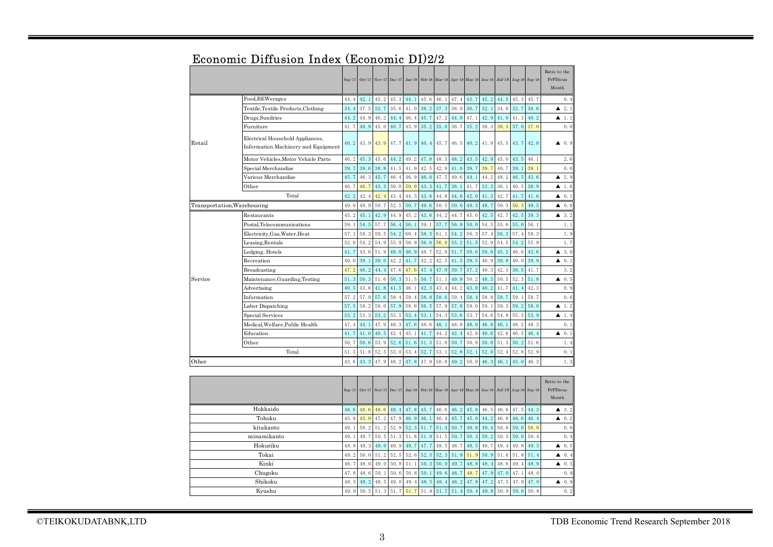|             |                                                                         | $Sep-17$ | $Oct-17$ | Nov 17 Dec 17 |      | $Jan-18$ |      |      |      |      |      | Feb 18 Mar 18 Apr 18 May 18 Jun 18 Jul 18 Aug 18 Sep 18 |      |      | Ratio to the<br>PrFDious<br>Month |
|-------------|-------------------------------------------------------------------------|----------|----------|---------------|------|----------|------|------|------|------|------|---------------------------------------------------------|------|------|-----------------------------------|
|             | Food, BEWerages                                                         | 44.4     | 42.1     | 45.2          | 45.3 | 44.1     | 45.6 | 46.1 | 47.4 | 45.7 | 45.2 | 44.5                                                    | 45.3 | 45.7 | 0.4                               |
|             | Textile, Textile Products, Clothing                                     | 34.4     | 37.5     | 32.7          | 35.6 | 41.0     | 38.2 | 37.3 | 38.9 | 36.7 | 32.1 | 34.6                                                    | 32.7 | 30.6 | 2.1<br>▲                          |
|             | Drugs, Sundries                                                         | 44.2     | 44.9     | 46.2          | 44.4 | 46.4     | 45.7 | 47.2 | 44.9 | 47.1 | 42.9 | 41.0                                                    | 41.3 | 40.2 | 1.1<br>▲                          |
|             | Furniture                                                               | 41.7     | 40.9     | 45.0          | 40.7 | 43.9     | 35.2 | 35.0 | 36.7 | 35.2 | 38.3 | 38.3                                                    | 37.0 | 37.0 | 0.0                               |
| Retail      | Electrical Household Appliances,<br>Information Machinery and Equipment | 40.2     | 43.9     | 43.9          | 47.7 | 41.9     | 40.4 | 45.7 | 46.5 | 40.2 | 41.9 | 45.5                                                    | 43.7 | 42.8 | $\blacktriangle$ 0.9              |
|             | Motor Vehicles, Motor Vehicle Parts                                     | 46.2     | 45.3     | 45.6          | 44.2 | 49.2     | 47.8 | 48.3 | 48.2 | 43.5 | 42.9 | 45.0                                                    | 43.5 | 46.1 | 2.6                               |
|             | Special Merchandise                                                     | 39.7     | 39.6     | 38.8          | 41.5 | 41.9     | 42.5 | 42.9 | 41.0 | 39.7 | 39.7 | 40.7                                                    | 39.1 | 39.1 | 0.0                               |
|             | Various Merchandise                                                     | 45.7     | 46.3     | 45.7          | 46.4 | 46.9     | 46.0 | 47.5 | 49.6 | 44.1 | 44.2 | 48.2                                                    | 46.5 | 43.6 | 2.9<br>▲                          |
|             | Other                                                                   | 46.7     | 46.7     | 43.3          | 50.0 | 50.0     | 43.3 | 41.7 | 36.1 | 41.7 | 33.3 | 36.1                                                    | 40.5 | 38.9 | ▲<br>1.6                          |
|             | Total                                                                   | 42.2     | 42.4     | 42.4          | 43.4 | 44.3     | 43.8 | 44.8 | 44.6 | 42.0 | 41.3 | 42.7                                                    | 41.7 | 41.6 | 0.1<br>▲                          |
|             | Transportation, Warehousing                                             | 49.0     | 49.9     | 50.7          | 52.5 | 50.7     | 49.6 | 50.5 | 50.0 | 49.3 | 48.7 | 50.3                                                    | 50.3 | 49.5 | 0.8<br>▲                          |
|             | Restaurants                                                             | 45.2     | 45.1     | 42.9          | 44.9 | 45.2     | 43.6 | 44.2 | 44.7 | 45.0 | 42.5 | 42.7                                                    | 42.5 | 39.3 | 3.2<br>▲                          |
|             | Postal,Telecommunications                                               | 59.1     | 54.5     | 57.7          | 56.4 | 56.1     | 59.1 | 57.7 | 56.9 | 50.0 | 54.5 | 55.6                                                    | 55.0 | 56.1 | 1.1                               |
|             | Electricity, Gas, Water, Heat                                           | 57.1     | 58.3     | 59.5          | 54.2 | 60.4     | 58.3 | 61.1 | 54.2 | 56.3 | 57.4 | 56.3                                                    | 57.4 | 59.3 | 1.9                               |
|             | Leasing,Rentals                                                         | 52.0     | 54.2     | 54.9          | 55.9 | 56.9     | 56.0 | 56.0 | 55.2 | 51.5 | 52.9 | 54.5                                                    | 54.2 | 55.9 | 1.7                               |
|             | Lodging, Hotels                                                         | 41.7     | 43.6     | 51.9          | 48.0 | 46.9     | 48.7 | 52.0 | 51.7 | 50.6 | 50.0 | 45.2                                                    | 46.6 | 43.6 | 3.0<br>▲                          |
|             | Recreation                                                              | 40.0     | 39.1     | 39.0          | 42.2 | 41.7     | 42.2 | 42.5 | 41.5 | 39.5 | 40.9 | 39.8                                                    | 40.0 | 39.9 | 0.1<br>▲                          |
|             | <b>Broadcasting</b>                                                     | 47.2     | 46.2     | 44.4          | 47.6 | 47.6     | 47.4 | 47.0 | 39.7 | 37.2 | 40.3 | 42.3                                                    | 38.5 | 41.7 | 3.2                               |
| Service     | Maintenance, Guarding, Testing                                          | 51.3     | 50.3     | 51.6          | 50.3 | 51.5     | 50.7 | 51.1 | 49.9 | 50.2 | 48.5 | 50.5                                                    | 52.3 | 51.8 | 0.5<br>▲                          |
|             | Advertising                                                             | 40.5     | 43.6     | 41.8          | 41.5 | 46.1     | 42.3 | 43.4 | 44.2 | 43.0 | 40.2 | 41.7                                                    | 41.4 | 42.3 | 0.9                               |
|             | Information                                                             | 57.2     | 57.9     | 57.6          | 58.4 | 59.4     | 58.8 | 58.6 | 59.4 | 58.4 | 58.8 | 58.7                                                    | 59.1 | 59.7 | 0.6                               |
|             | Labor Dispatching                                                       | 57.5     | 58.2     | 59.0          | 57.9 | 58.6     | 56.5 | 57.9 | 57.8 | 59.0 | 59.1 | 59.3                                                    | 59.2 | 58.0 | 1.2<br>▲                          |
|             | Special Services                                                        | 53.2     | 53.3     | 53.2          | 55.5 | 53.4     | 53.1 | 54.3 | 53.6 | 53.7 | 54.6 | 54.8                                                    | 55.3 | 53.9 | 1.4<br>▲                          |
|             | Medical.Welfare.Public Health                                           | 47.4     | 44.1     | 47.9          | 48.3 | 47.6     | 48.6 | 48.1 | 48.8 | 48.0 | 46.8 | 46.1                                                    | 48.2 | 48.3 | 0.1                               |
|             | Education                                                               | 41.7     | 41.0     | 40.5          | 42.4 | 45.1     | 41.7 | 44.2 | 42.4 | 42.8 | 40.6 | 42.6                                                    | 46.5 | 46.4 | 0.1<br>▲                          |
|             | Other                                                                   | 50.7     | 50.6     | 53.9          | 52.6 | 51.6     | 51.3 | 51.8 | 50.7 | 50.8 | 50.0 | 51.3                                                    | 50.2 | 51.6 | 1.4                               |
|             | Total                                                                   | 51.5     | 51.8     | 52.5          | 53.0 | 53.4     | 52.7 | 53.1 | 52.8 | 52.1 | 52.0 | 52.4                                                    | 52.8 | 52.9 | 0.1                               |
| Other       |                                                                         | 43.6     | 43.3     | 47.9          | 48.2 | 47.8     | 47.9 | 50.8 | 49.2 | 50.0 | 46.3 | 46.1                                                    | 45.0 | 46.3 | 1.3                               |
|             |                                                                         |          |          |               |      |          |      |      |      |      |      |                                                         |      |      |                                   |
|             |                                                                         | $Sep-17$ | Oct·17   | Nov-17 Dec-17 |      | $Jan-18$ |      |      |      |      |      | Feb 18 Mar 18 Apr 18 May 18 Jun 18 Jul 18 Aug 18 Sep 18 |      |      | Ratio to the<br>PrFDious<br>Month |
| Hokkaido    |                                                                         | 48.6     | 48.6     | 48.6          | 48.4 | 47.8     | 45.7 | 46.6 | 46.2 | 45.8 | 46.5 | 46.6                                                    | 47.5 | 44.3 | 3.2<br>▲                          |
| Tohoku      |                                                                         | 45.9     | 45.9     | 47.2          | 47.9 | 46.9     | 46.1 | 46.4 | 45.7 | 45.0 | 44.2 | 46.8                                                    | 46.6 | 46.4 | 0.2<br>▲                          |
| kitakanto   |                                                                         | 49.1     | 50.2     | 51.2          | 52.9 | 52.3     | 51.7 | 51.4 | 50.7 | 49.8 | 49.4 | 50.6                                                    | 50.0 | 50.0 | 0.0                               |
| minamikanto |                                                                         | 49.1     | 49.7     | 50.5          | 51.3 | 51.8     | 51.0 | 51.5 | 50.7 | 50.3 | 50.2 | 50.3                                                    | 50.0 | 50.4 | 0.4                               |
| Hokuriku    |                                                                         |          | 49.3     | 49.0          | 49.9 | 49.7     | 47.7 | 48.5 | 48.7 | 48.5 | 48.7 | 49.4                                                    | 49.8 | 49.3 | 0.5<br>▲                          |
|             | Tokai                                                                   | 49.2     | 50.0     | 51.2          | 52.5 | 52.6     | 52.5 | 52.3 | 51.9 | 51.9 | 50.9 | 51.6                                                    | 51.8 | 51.4 | 0.4<br>▲                          |
|             | Kinki                                                                   | 46.7     | 48.0     | 49.0          | 50.8 | 51.1     | 50.3 | 50.0 | 49.7 | 48.8 | 48.4 | 48.6                                                    | 49.4 | 48.9 | 0.5<br>▲                          |
|             | Chugoku                                                                 | 47.8     | 48.6     | 50.1          | 50.6 | 50.8     | 50.1 | 49.6 | 48.7 | 48.7 | 47.9 | 47.0                                                    | 47.1 | 48.0 | 0.9                               |
| Shikoku     |                                                                         | 48.5     | 48.2     | 48.5          | 49.0 | 49.4     | 48.5 | 48.4 | 48.2 | 47.8 | 47.2 | 47.5                                                    | 47.9 | 47.0 | 0.9<br>▲                          |

# Economic Diffusion Index (Economic DI)2/2

Kyushu

49.9  $\boxed{50.5}$   $\boxed{51.3}$   $\boxed{51.7}$   $\boxed{51.7}$   $\boxed{51.8}$   $\boxed{51.7}$   $\boxed{51.4}$   $\boxed{50.4}$   $\boxed{49.8}$   $\boxed{50.9}$   $\boxed{50.6}$   $\boxed{50.8}$  0.2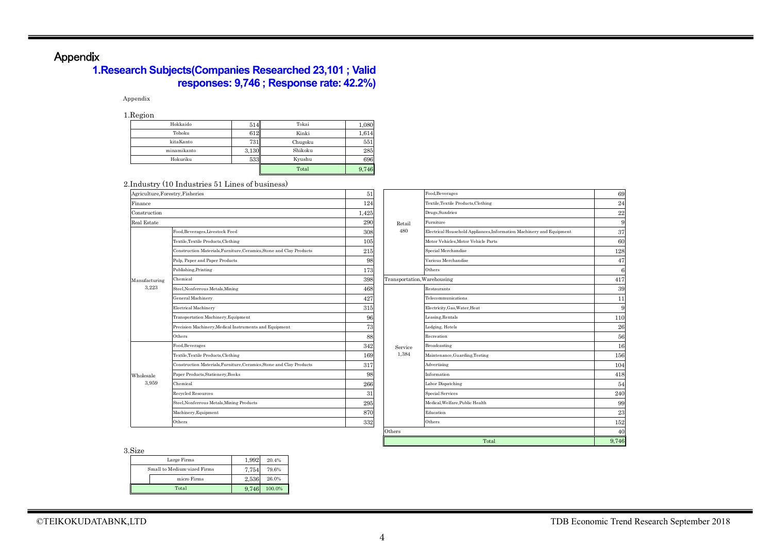# Appendix

# **1.Research Subjects(Companies Researched 23,101 ; Valid responses: 9,746 ; Response rate: 42.2%)**

#### Appendix

1.Region

| $\cdot$ $\cdot$ $\sigma$ |       |         |       |
|--------------------------|-------|---------|-------|
| Hokkaido                 | 514   | Tokai   | 1,080 |
| Tohoku                   | 612   | Kinki   | 1,614 |
| kitaKanto                | 731   | Chugoku | 551   |
| minamikanto              | 3.130 | Shikoku | 285   |
| Hokuriku                 | 533   | Kyushu  | 696   |
|                          |       | Total   | 9,746 |

#### 2.Industry (10 Industries 51 Lines of business)

| Agriculture, Forestry, Fisheries |                                                                      | 51    |                             | Food, Beverages                                                      | 69       |
|----------------------------------|----------------------------------------------------------------------|-------|-----------------------------|----------------------------------------------------------------------|----------|
| Finance                          |                                                                      | 124   |                             | Textile, Textile Products, Clothing                                  | 24       |
| Construction                     |                                                                      | 1,425 |                             | Drugs, Sundries                                                      | $\bf 22$ |
| Real Estate                      |                                                                      | 290   | Retail                      | Furniture                                                            | 9        |
|                                  | Food, Beverages, Livestock Feed                                      | 308   | 480                         | Electrical Household Appliances, Information Machinery and Equipment | 37       |
|                                  | Textile, Textile Products, Clothing                                  | 105   |                             | Motor Vehicles.Motor Vehicle Parts                                   | 60       |
|                                  | Construction Materials, Furniture, Ceramics, Stone and Clay Products | 215   |                             | Special Merchandise                                                  | 128      |
|                                  | Pulp, Paper and Paper Products                                       | 98    |                             | Various Merchandise                                                  | 47       |
|                                  | Publishing, Printing                                                 | 173   |                             | Others                                                               |          |
| Manufacturing<br>3,223           | Chemical                                                             | 398   | Transportation, Warehousing |                                                                      | 417      |
|                                  | Steel, Nonferrous Metals, Mining                                     | 468   |                             | Restaurants                                                          | 39       |
|                                  | General Machinery                                                    | 427   |                             | Telecommunications                                                   | 11       |
|                                  | <b>Electrical Machinery</b>                                          | 315   |                             | Electricity, Gas, Water, Heat                                        | 9        |
|                                  | Transportation Machinery, Equipment                                  | 96    |                             | Leasing, Rentals                                                     | 110      |
|                                  | Precision Machinery, Medical Instruments and Equipment               | 73    |                             | Lodging, Hotels                                                      | 26       |
|                                  | Others                                                               | 88    |                             | Recreation                                                           | 56       |
|                                  | Food, Beverages                                                      | 342   | Service                     | Broadcasting                                                         | 16       |
|                                  | Textile, Textile Products, Clothing                                  | 169   | 1,384                       | Maintenance, Guarding, Testing                                       | 156      |
|                                  | Construction Materials, Furniture, Ceramics, Stone and Clay Products | 317   |                             | Advertising                                                          | 104      |
| Wholesale                        | Paper Products, Stationery, Books                                    | 98    |                             | Information                                                          | 418      |
| 3,959                            | Chemical                                                             | 266   |                             | Labor Dispatching                                                    | 54       |
|                                  | Recycled Resources                                                   | 31    |                             | <b>Special Services</b>                                              | 240      |
|                                  | Steel, Nonferrous Metals, Mining Products                            | 295   |                             | Medical.Welfare.Public Health                                        | 99       |
|                                  | Machinery, Equipment                                                 | 870   |                             | Education                                                            | 23       |
|                                  | Others                                                               | 332   |                             | Others                                                               | 152      |
|                                  |                                                                      |       | Others                      |                                                                      | 40       |
|                                  |                                                                      |       |                             | Total                                                                | 9,746    |

3.Size

| ,,,,,,,                     |       |        |
|-----------------------------|-------|--------|
| Large Firms                 | 1.992 | 20.4%  |
| Small to Medium-sized Firms | 7.754 | 79.6%  |
| micro Firms                 | 2.536 | 26.0%  |
| Total                       | 9.746 | 100.0% |